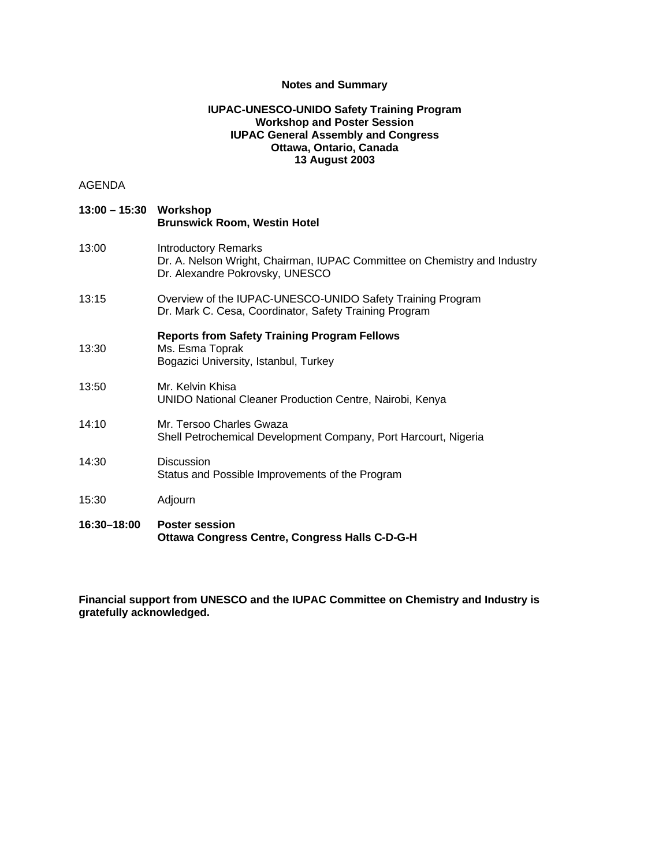## **Notes and Summary**

# **IUPAC-UNESCO-UNIDO Safety Training Program Workshop and Poster Session IUPAC General Assembly and Congress Ottawa, Ontario, Canada 13 August 2003**

# AGENDA

| 13:00 - 15:30 Workshop | <b>Brunswick Room, Westin Hotel</b>                                                                                                         |
|------------------------|---------------------------------------------------------------------------------------------------------------------------------------------|
| 13:00                  | <b>Introductory Remarks</b><br>Dr. A. Nelson Wright, Chairman, IUPAC Committee on Chemistry and Industry<br>Dr. Alexandre Pokrovsky, UNESCO |
| 13:15                  | Overview of the IUPAC-UNESCO-UNIDO Safety Training Program<br>Dr. Mark C. Cesa, Coordinator, Safety Training Program                        |
| 13:30                  | <b>Reports from Safety Training Program Fellows</b><br>Ms. Esma Toprak<br>Bogazici University, Istanbul, Turkey                             |
| 13:50                  | Mr. Kelvin Khisa<br>UNIDO National Cleaner Production Centre, Nairobi, Kenya                                                                |
| 14:10                  | Mr. Tersoo Charles Gwaza<br>Shell Petrochemical Development Company, Port Harcourt, Nigeria                                                 |
| 14:30                  | Discussion<br>Status and Possible Improvements of the Program                                                                               |
| 15:30                  | Adjourn                                                                                                                                     |
| 16:30-18:00            | <b>Poster session</b><br><b>Ottawa Congress Centre, Congress Halls C-D-G-H</b>                                                              |

**Financial support from UNESCO and the IUPAC Committee on Chemistry and Industry is gratefully acknowledged.**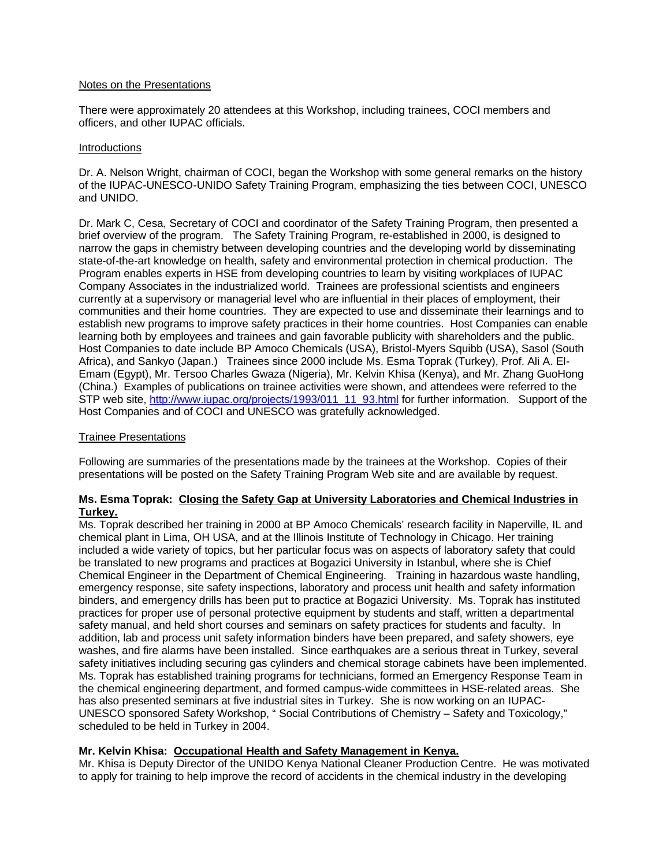#### Notes on the Presentations

There were approximately 20 attendees at this Workshop, including trainees, COCI members and officers, and other IUPAC officials.

#### Introductions

Dr. A. Nelson Wright, chairman of COCI, began the Workshop with some general remarks on the history of the IUPAC-UNESCO-UNIDO Safety Training Program, emphasizing the ties between COCI, UNESCO and UNIDO.

Dr. Mark C, Cesa, Secretary of COCI and coordinator of the Safety Training Program, then presented a brief overview of the program. The Safety Training Program, re-established in 2000, is designed to narrow the gaps in chemistry between developing countries and the developing world by disseminating state-of-the-art knowledge on health, safety and environmental protection in chemical production. The Program enables experts in HSE from developing countries to learn by visiting workplaces of IUPAC Company Associates in the industrialized world. Trainees are professional scientists and engineers currently at a supervisory or managerial level who are influential in their places of employment, their communities and their home countries. They are expected to use and disseminate their learnings and to establish new programs to improve safety practices in their home countries. Host Companies can enable learning both by employees and trainees and gain favorable publicity with shareholders and the public. Host Companies to date include BP Amoco Chemicals (USA), Bristol-Myers Squibb (USA), Sasol (South Africa), and Sankyo (Japan.) Trainees since 2000 include Ms. Esma Toprak (Turkey), Prof. Ali A. El-Emam (Egypt), Mr. Tersoo Charles Gwaza (Nigeria), Mr. Kelvin Khisa (Kenya), and Mr. Zhang GuoHong (China.) Examples of publications on trainee activities were shown, and attendees were referred to the STP web site, http://www.iupac.org/projects/1993/011\_11\_93.html for further information. Support of the Host Companies and of COCI and UNESCO was gratefully acknowledged.

## Trainee Presentations

Following are summaries of the presentations made by the trainees at the Workshop. Copies of their presentations will be posted on the Safety Training Program Web site and are available by request.

## **Ms. Esma Toprak: Closing the Safety Gap at University Laboratories and Chemical Industries in Turkey.**

Ms. Toprak described her training in 2000 at BP Amoco Chemicals' research facility in Naperville, IL and chemical plant in Lima, OH USA, and at the Illinois Institute of Technology in Chicago. Her training included a wide variety of topics, but her particular focus was on aspects of laboratory safety that could be translated to new programs and practices at Bogazici University in Istanbul, where she is Chief Chemical Engineer in the Department of Chemical Engineering. Training in hazardous waste handling, emergency response, site safety inspections, laboratory and process unit health and safety information binders, and emergency drills has been put to practice at Bogazici University. Ms. Toprak has instituted practices for proper use of personal protective equipment by students and staff, written a departmental safety manual, and held short courses and seminars on safety practices for students and faculty. In addition, lab and process unit safety information binders have been prepared, and safety showers, eye washes, and fire alarms have been installed. Since earthquakes are a serious threat in Turkey, several safety initiatives including securing gas cylinders and chemical storage cabinets have been implemented. Ms. Toprak has established training programs for technicians, formed an Emergency Response Team in the chemical engineering department, and formed campus-wide committees in HSE-related areas. She has also presented seminars at five industrial sites in Turkey. She is now working on an IUPAC-UNESCO sponsored Safety Workshop, " Social Contributions of Chemistry – Safety and Toxicology," scheduled to be held in Turkey in 2004.

## **Mr. Kelvin Khisa: Occupational Health and Safety Management in Kenya.**

Mr. Khisa is Deputy Director of the UNIDO Kenya National Cleaner Production Centre. He was motivated to apply for training to help improve the record of accidents in the chemical industry in the developing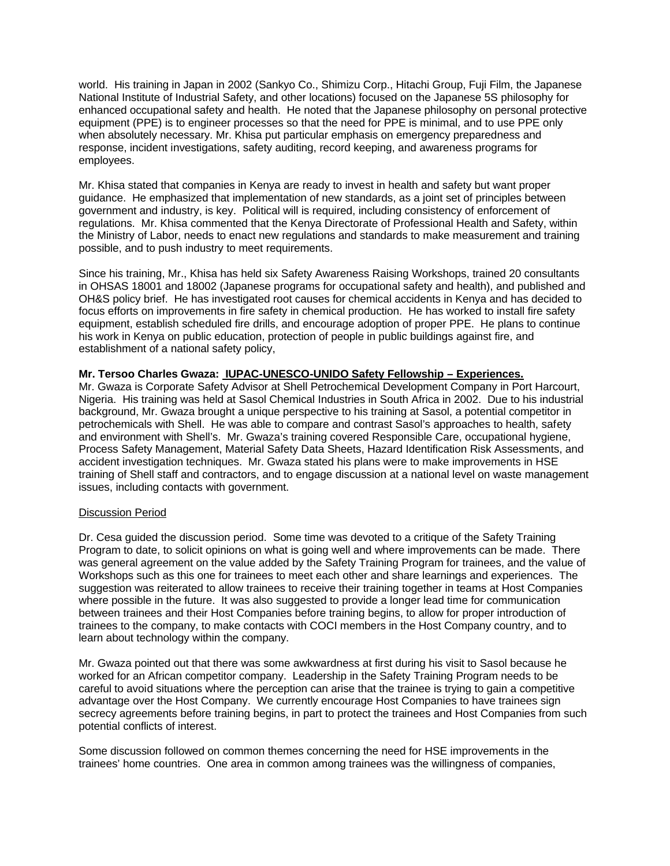world. His training in Japan in 2002 (Sankyo Co., Shimizu Corp., Hitachi Group, Fuji Film, the Japanese National Institute of Industrial Safety, and other locations) focused on the Japanese 5S philosophy for enhanced occupational safety and health. He noted that the Japanese philosophy on personal protective equipment (PPE) is to engineer processes so that the need for PPE is minimal, and to use PPE only when absolutely necessary. Mr. Khisa put particular emphasis on emergency preparedness and response, incident investigations, safety auditing, record keeping, and awareness programs for employees.

Mr. Khisa stated that companies in Kenya are ready to invest in health and safety but want proper guidance. He emphasized that implementation of new standards, as a joint set of principles between government and industry, is key. Political will is required, including consistency of enforcement of regulations. Mr. Khisa commented that the Kenya Directorate of Professional Health and Safety, within the Ministry of Labor, needs to enact new regulations and standards to make measurement and training possible, and to push industry to meet requirements.

Since his training, Mr., Khisa has held six Safety Awareness Raising Workshops, trained 20 consultants in OHSAS 18001 and 18002 (Japanese programs for occupational safety and health), and published and OH&S policy brief. He has investigated root causes for chemical accidents in Kenya and has decided to focus efforts on improvements in fire safety in chemical production. He has worked to install fire safety equipment, establish scheduled fire drills, and encourage adoption of proper PPE. He plans to continue his work in Kenya on public education, protection of people in public buildings against fire, and establishment of a national safety policy,

# **Mr. Tersoo Charles Gwaza: IUPAC-UNESCO-UNIDO Safety Fellowship – Experiences.**

Mr. Gwaza is Corporate Safety Advisor at Shell Petrochemical Development Company in Port Harcourt, Nigeria. His training was held at Sasol Chemical Industries in South Africa in 2002. Due to his industrial background, Mr. Gwaza brought a unique perspective to his training at Sasol, a potential competitor in petrochemicals with Shell. He was able to compare and contrast Sasol's approaches to health, safety and environment with Shell's. Mr. Gwaza's training covered Responsible Care, occupational hygiene, Process Safety Management, Material Safety Data Sheets, Hazard Identification Risk Assessments, and accident investigation techniques. Mr. Gwaza stated his plans were to make improvements in HSE training of Shell staff and contractors, and to engage discussion at a national level on waste management issues, including contacts with government.

# Discussion Period

Dr. Cesa guided the discussion period. Some time was devoted to a critique of the Safety Training Program to date, to solicit opinions on what is going well and where improvements can be made. There was general agreement on the value added by the Safety Training Program for trainees, and the value of Workshops such as this one for trainees to meet each other and share learnings and experiences. The suggestion was reiterated to allow trainees to receive their training together in teams at Host Companies where possible in the future. It was also suggested to provide a longer lead time for communication between trainees and their Host Companies before training begins, to allow for proper introduction of trainees to the company, to make contacts with COCI members in the Host Company country, and to learn about technology within the company.

Mr. Gwaza pointed out that there was some awkwardness at first during his visit to Sasol because he worked for an African competitor company. Leadership in the Safety Training Program needs to be careful to avoid situations where the perception can arise that the trainee is trying to gain a competitive advantage over the Host Company. We currently encourage Host Companies to have trainees sign secrecy agreements before training begins, in part to protect the trainees and Host Companies from such potential conflicts of interest.

Some discussion followed on common themes concerning the need for HSE improvements in the trainees' home countries. One area in common among trainees was the willingness of companies,